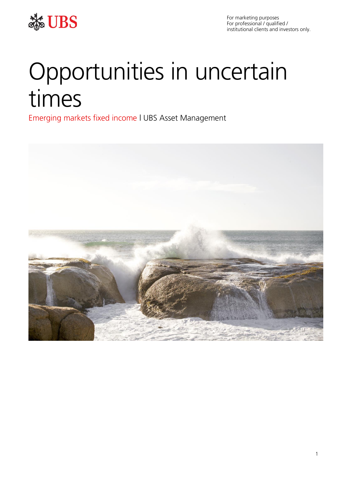

For marketing purposes For professional / qualified / institutional clients and investors only.

# Opportunities in uncertain times

Emerging markets fixed income | UBS Asset Management

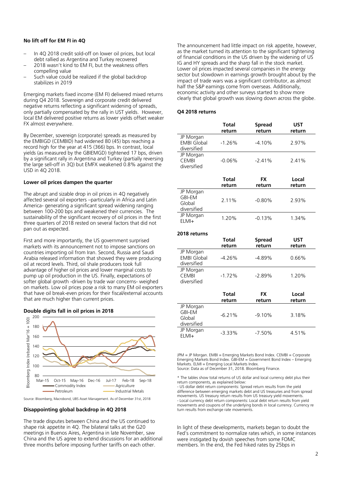# **No lift off for EM FI in 4Q**

- In 4Q 2018 credit sold-off on lower oil prices, but local debt rallied as Argentina and Turkey recovered
- 2018 wasn't kind to EM FI, but the weakness offers compelling value
- Such value could be realized if the global backdrop stabilizes in 2019

Emerging markets fixed income (EM FI) delivered mixed returns during Q4 2018. Sovereign and corporate credit delivered negative returns reflecting a significant widening of spreads, only partially compensated by the rally in UST yields. However, local EM delivered positive returns as lower yields offset weaker FX almost everywhere.

By December, sovereign (corporate) spreads as measured by the EMBIGD (CEMBID) had widened 80 (45) bps reaching a record high for the year at 415 (366) bps. In contrast, local yields (as measured by the GBIEMGD) tightened 17 bps, driven by a significant rally in Argentina and Turkey (partially reversing the large sell-off in 3Q) but EMFX weakened 0.8% against the USD in 4Q 2018.

### **Lower oil prices dampen the quarter**

The abrupt and sizable drop in oil prices in 4Q negatively affected several oil exporters –particularly in Africa and Latin America- generating a significant spread widening ranging between 100-200 bps and weakened their currencies. The sustainability of the significant recovery of oil prices in the first three quarters of 2018 rested on several factors that did not pan out as expected.

First and more importantly, the US government surprised markets with its announcement not to impose sanctions on countries importing oil from Iran. Second, Russia and Saudi Arabia released information that showed they were producing oil at record levels. Third, oil shale producers took full advantage of higher oil prices and lower marginal costs to pump up oil production in the US. Finally, expectations of softer global growth -driven by trade war concerns- weighed on markets. Low oil prices pose a risk to many EM oil exporters that have oil break-even prices for their fiscal/external accounts that are much higher than current prices.





Source: Bloomberg, Macrobond, UBS Asset Management. As of December 31st, 2018

### **Disappointing global backdrop in 4Q 2018**

The trade disputes between China and the US continued to shape risk appetite in 4Q. The bilateral talks at the G20 meetings in Buenos Aires, Argentina in late November, saw China and the US agree to extend discussions for an additional three months before imposing further tariffs on each other.

The announcement had little impact on risk appetite, however, as the market turned its attention to the significant tightening of financial conditions in the US driven by the widening of US IG and HY spreads and the sharp fall in the stock market. Lower oil prices impacted several companies in the energy sector but slowdown in earnings growth brought about by the impact of trade wars was a significant contributor, as almost half the S&P earnings come from overseas. Additionally, economic activity and other surveys started to show more clearly that global growth was slowing down across the globe.

# **Q4 2018 returns**

|                                                     | Total<br>return | <b>Spread</b><br>return | <b>UST</b><br>return |
|-----------------------------------------------------|-----------------|-------------------------|----------------------|
| JP Morgan<br><b>EMBI Global</b><br>diversified      | $-1.26%$        | $-4.10\%$               | 2.97%                |
| JP Morgan<br><b>CEMBI</b><br>diversified            | $-0.06%$        | $-2.41%$                | 2.41%                |
|                                                     |                 |                         |                      |
|                                                     | Total<br>return | <b>FX</b><br>return     | Local<br>return      |
| JP Morgan<br><b>GBI-EM</b><br>Global<br>diversified | 2.11%           | $-0.80\%$               | $2.93\%$             |

### **2018 returns**

|                                                     | Total<br>return | <b>Spread</b><br>return | <b>UST</b><br>return |
|-----------------------------------------------------|-----------------|-------------------------|----------------------|
| JP Morgan<br><b>EMBI Global</b><br>diversified      | $-4.26%$        | $-4.89%$                | 0.66%                |
| JP Morgan<br><b>CEMBI</b><br>diversified            | $-1.72%$        | $-2.89%$                | 1.20%                |
|                                                     |                 |                         |                      |
|                                                     | Total<br>return | FX<br>return            | Local<br>return      |
| JP Morgan<br><b>GBI-EM</b><br>Global<br>diversified | $-6.21%$        | $-9.10%$                | 3.18%                |

JPM = JP Morgan. EMBI = Emerging Markets Bond Index. CEMBI = Corporate Emerging Markets Bond Index. GBI-EM = Government Bond Index – Emerging Markets. ELMI = Emerging Local Markets Index. Source: Data as of December 31, 2018. Bloomberg Finance.

\* The tables show total returns of US dollar and local currency debt plus their return components, as explained below:

- US dollar debt return components: Spread return results from the yield difference between emerging markets debt and US treasuries and from spread movements. US treasury return results from US treasury yield movements. - Local currency debt return components: Local debt return results from yield movements and coupons of the underlying bonds in local currency. Currency re turn results from exchange rate movements.

In light of these developments, markets began to doubt the Fed's commitment to normalize rates which, in some instances were instigated by dovish speeches from some FOMC members. In the end, the Fed hiked rates by 25bps in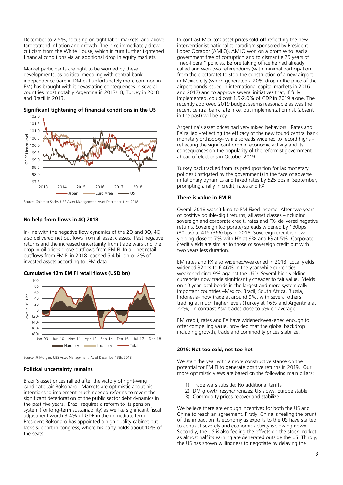December to 2.5%, focusing on tight labor markets, and above target/trend inflation and growth. The hike immediately drew criticism from the White House, which in turn further tightened financial conditions via an additional drop in equity markets.

Market participants are right to be worried by these developments, as political meddling with central bank independence (rare in DM but unfortunately more common in EM) has brought with it devastating consequences in several countries most notably Argentina in 2017/18, Turkey in 2018 and Brazil in 2013.



**Significant tightening of financial conditions in the US**

Source: Goldman Sachs, UBS Asset Management. As of December 31st, 2018

# **No help from flows in 4Q 2018**

In-line with the negative flow dynamics of the 2Q and 3Q, 4Q also delivered net outflows from all asset classes. Past negative returns and the increased uncertainty from trade wars and the drop in oil prices drove outflows from EM FI. In all, net retail outflows from EM FI in 2018 reached 5.4 billion or 2% of invested assets according to JPM data.

# **Cumulative 12m EM FI retail flows (USD bn)**



Source: JP Morgan, UBS Asset Management. As of December 13th, 2018

# **Political uncertainty remains**

Brazil's asset prices rallied after the victory of right-wing candidate Jair Bolsonaro. Markets are optimistic about his intentions to implement much needed reforms to revert the significant deterioration of the public sector debt dynamics in the past five years. Brazil requires a reform to its pension system (for long-term sustainability) as well as significant fiscal adjustment worth 3-4% of GDP in the immediate term. President Bolsonaro has appointed a high quality cabinet but lacks support in congress, where his party holds about 10% of the seats.

In contrast Mexico's asset prices sold-off reflecting the new interventionist-nationalist paradigm sponsored by President Lopez Obrador (AMLO). AMLO won on a promise to lead a government free of corruption and to dismantle 25 years of "neo-liberal" policies. Before taking office he had already called and won two referendums (with minimal participation from the electorate) to stop the construction of a new airport in Mexico city (which generated a 20% drop in the price of the airport bonds issued in international capital markets in 2016 and 2017) and to approve several initiatives that, if fully implemented, could cost 1.5-2.0% of GDP in 2019 alone. The recently approved 2019 budget seems reasonable as was the recent central bank rate hike, but implementation risk (absent in the past) will be key.

Argentina's asset prices had very mixed behaviors. Rates and FX rallied –reflecting the efficacy of the new found central bank monetary orthodoxy- while spreads widened to record highs reflecting the significant drop in economic activity and its consequences on the popularity of the reformist government ahead of elections in October 2019.

Turkey backtracked from its predisposition for lax monetary policies (instigated by the government) in the face of adverse inflationary dynamics and hiked rates by 625 bps in September, prompting a rally in credit, rates and FX.

# **There is value in EM FI**

Overall 2018 wasn't kind to EM Fixed Income. After two years of positive double-digit returns, all asset classes –including sovereign and corporate credit, rates and FX- delivered negative returns. Sovereign (corporate) spreads widened by 130bps (80bps) to 415 (366) bps in 2018. Sovereign credit is now yielding close to 7% with HY at 9% and IG at 5%. Corporate credit yields are similar to those of sovereign credit but with two years less duration.

EM rates and FX also widened/weakened in 2018. Local yields widened 32bps to 6.46% in the year while currencies weakened circa 9% against the USD. Several high yielding currencies now trade significantly cheaper to fair value. Yields on 10 year local bonds in the largest and more systemically important countries –Mexico, Brazil, South Africa, Russia, Indonesia- now trade at around 9%, with several others trading at much higher levels (Turkey at 16% and Argentina at 22%). In contrast Asia trades close to 5% on average.

EM credit, rates and FX have widened/weakened enough to offer compelling value, provided that the global backdrop including growth, trade and commodity prices stabilize.

# **2019: Not too cold, not too hot**

We start the year with a more constructive stance on the potential for EM FI to generate positive returns in 2019. Our more optimistic views are based on the following main pillars:

- 1) Trade wars subside: No additional tariffs
- 2) DM growth resynchronizes: US slows, Europe stable
- 3) Commodity prices recover and stabilize

We believe there are enough incentives for both the US and China to reach an agreement. Firstly, China is feeling the brunt of the impact on its economy as exports to the US have started to contract severely and economic activity is slowing down. Secondly, the US is also feeling the effects on the stock market as almost half its earning are generated outside the US. Thirdly, the US has shown willingness to negotiate by delaying the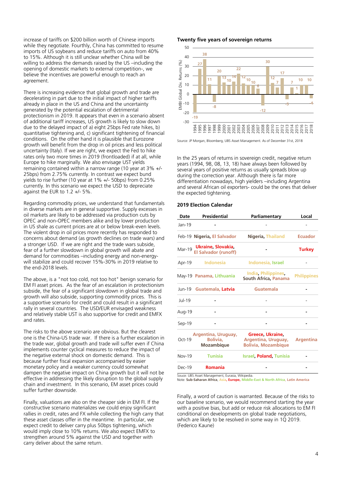increase of tariffs on \$200 billion worth of Chinese imports while they negotiate. Fourthly, China has committed to resume imports of US soybeans and reduce tariffs on auto from 40% to 15%. Although it is still unclear whether China will be willing to address the demands raised by the US –including the opening of domestic markets to external competition-, we believe the incentives are powerful enough to reach an agreement.

There is increasing evidence that global growth and trade are decelerating in part due to the initial impact of higher tariffs already in place in the US and China and the uncertainty generated by the potential escalation of detrimental protectionism in 2019. It appears that even in a scenario absent of additional tariff increases, US growth is likely to slow down due to the delayed impact of a) eight 25bps Fed rate hikes, b) quantitative tightening and, c) significant tightening of financial conditions. On the other hand it is plausible that Eurozone growth will benefit from the drop in oil prices and less political uncertainty (Italy). If we are right, we expect the Fed to hike rates only two more times in 2019 (frontloaded) if at all, while Europe to hike marginally. We also envisage UST yields remaining contained within a narrow range (10 year at 3% +/- 25bps) from 2.75% currently. In contrast we expect bund yields to rise further (10 year at 1% +/- 50bps) from 0.25% currently. In this scenario we expect the USD to depreciate against the EUR to 1.2 +/- 5%.

Regarding commodity prices, we understand that fundamentals in diverse markets are in general supportive. Supply excesses in oil markets are likely to be addressed via production cuts by OPEC and non-OPEC members alike and by lower production in US shale as current prices are at or below break-even levels. The violent drop in oil prices more recently has responded to concerns about demand (as growth declines on trade wars) and a stronger USD. If we are right and the trade wars subside, fear of a further slowdown in global growth will abate and demand for commodities –including energy and non-energywill stabilize and could recover 15%-30% in 2019 relative to the end-2018 levels.

The above, is a "not too cold, not too hot" benign scenario for EM FI asset prices. As the fear of an escalation in protectionism subside, the fear of a significant slowdown in global trade and growth will also subside, supporting commodity prices. This is a supportive scenario for credit and could result in a significant rally in several countries. The USD/EUR envisaged weakness and relatively stable UST is also supportive for credit and EMFX and rates.

The risks to the above scenario are obvious. But the clearest one is the China-US trade war. If there is a further escalation in the trade war, global growth and trade will suffer even if China implements counter cyclical measures to reduce the impact of the negative external shock on domestic demand. This is because further fiscal expansion accompanied by easier monetary policy and a weaker currency could somewhat dampen the negative impact on China growth but it will not be effective in addressing the likely disruption to the global supply chain and investment. In this scenario, EM asset prices could suffer further downside.

Finally, valuations are also on the cheaper side in EM FI. If the constructive scenario materializes we could enjoy significant rallies in credit, rates and FX while collecting the high carry that these asset classes offer in the meantime. In particular, we expect credit to deliver carry plus 50bps tightening, which would imply close to 10% returns. We also expect EMFX to strengthen around 5% against the USD and together with carry deliver about the same return.

# **Twenty five years of sovereign returns**



Source: JP Morgan, Bloomberg, UBS Asset Management. As of December 31st, 2018

In the 25 years of returns in sovereign credit, negative return years (1994, 98, 08, 13, 18) have always been followed by several years of positive returns as usually spreads blow up during the correction year. Although there is far more differentiation nowadays, high yielders –including Argentina and several African oil exporters- could be the ones that deliver the expected tightening.

# **2019 Election Calendar**

| Date          | Presidential                                      | Parliamentary                                                              | Local              |
|---------------|---------------------------------------------------|----------------------------------------------------------------------------|--------------------|
| Jan-19        |                                                   |                                                                            |                    |
|               | Feb-19 Nigeria, El Salvador                       | Nigeria, Thailand                                                          | <b>Ecuador</b>     |
| Mar-19        | Ukraine, Slovakia,<br><b>El Salvador (runoff)</b> |                                                                            | <b>Turkey</b>      |
| Apr-19        | Indonesia                                         | Indonesia, Israel                                                          |                    |
|               | May-19 Panama, Lithuania                          | India Philippines<br><b>South Africa, Panama</b>                           | <b>Philippines</b> |
| Jun-19        | Guatemala, Latvia                                 | Guatemala                                                                  |                    |
| Jul-19        |                                                   |                                                                            |                    |
| Aug-19        |                                                   |                                                                            |                    |
| Sep-19        |                                                   |                                                                            |                    |
| Oct-19        | Argentina, Uruguay,<br>Bolivia,<br>Mozambique     | <b>Greece Ukraine</b><br>Argentina, Uruguay,<br><b>Bolivia, Mozambique</b> | <b>Argentina</b>   |
| <b>Nov-19</b> | <b>Tunisia</b>                                    | <b>Israel Poland Tunisia</b>                                               |                    |
| Dec-19        | <b>Romania</b>                                    |                                                                            |                    |
|               | Souce: UBS Asset Management, Eurasia, Wikipedia,  |                                                                            |                    |

Note: **Sub-Saharan Africa**, **Asia, Europe, Middle-East & North Africa**, **Latin America**

Finally, a word of caution is warranted. Because of the risks to our baseline scenario, we would recommend starting the year with a positive bias, but add or reduce risk allocations to EM FI conditional on developments on global trade negotiations, which are likely to be resolved in some way in 1Q 2019. (Federico Kaune)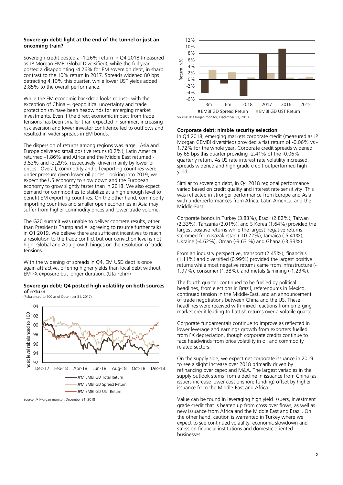# **Sovereign debt: light at the end of the tunnel or just an oncoming train?**

Sovereign credit posted a -1.26% return in Q4 2018 (measured as JP Morgan EMBI Global Diversified), while the full year posted a disappointing -4.26% for EM sovereign debt, in sharp contrast to the 10% return in 2017. Spreads widened 80 bps detracting 4.10% this quarter, while lower UST yields added 2.85% to the overall performance.

While the EM economic backdrop looks robust– with the exception of China –, geopolitical uncertainty and trade protectionism have been headwinds for emerging market investments. Even if the direct economic impact from trade tensions has been smaller than expected in summer, increasing risk aversion and lower investor confidence led to outflows and resulted in wider spreads in EM bonds.

The dispersion of returns among regions was large. Asia and Europe delivered small positive retuns (0.2%), Latin America returned -1.86% and Africa and the Middle East returned - 3.53% and -3.29%, respectively, driven mainly by lower oil prices. Overall, commodity and oil exporting countries were under pressure given lower oil prices. Looking into 2019, we expect the US economy to slow down and the European economy to grow slightly faster than in 2018. We also expect demand for commodities to stabilize at a high enough level to benefit EM exporting countries. On the other hand, commodity importing countries and smaller open economies in Asia may suffer from higher commodity prices and lower trade volume.

The G20 summit was unable to deliver concrete results, other than Presidents Trump and Xi agreeing to resume further talks in Q1 2019. We believe there are sufficient incentives to reach a resolution to the trade conflict but our conviction level is not high. Global and Asia growth hinges on the resolution of trade tensions.

With the widening of spreads in Q4, EM USD debt is once again attractive, offering higher yields than local debt without EM FX exposure but longer duration. (Uta Fehm)

### **Sovereign debt: Q4 posted high volatility on both sources of return**



Source: JP Morgan monitor, December 31, 2018

(Rebalanced to 100 as of December 31, 2017)



### **Corporate debt: nimble security selection**

In Q4 2018, emerging markets corporate credit (measured as JP Morgan CEMBI diversified) provided a flat return of -0.06% vs - 1.72% for the whole year. Corporate credit spreads widened by 65 bps this quarter providing -2.41% of the -0.06% quarterly return. As US rate interest rate volatility increased, spreads widened and high grade credit outperformed high yield.

Similar to sovereign debt, in Q4 2018 regional performance varied based on credit quality and interest rate sensitivity. This was reflected in stronger performance from Europe and Asia with underperformances from Africa, Latin America, and the Middle-East.

Corporate bonds in Turkey (3.83%), Brazil (2.82%), Taiwan (2.33%), Tanzania (2.01%), and S Korea (1.64%) provided the largest positive returns while the largest negative returns stemmed from Kazakhstan (-10.22%), Jamaica (-5.41%), Ukraine (-4.62%), Oman (-3.63 %) and Ghana (-3.33%).

From an industry perspective, transport (2.45%), financials (1.11%) and diversified (0.99%) provided the largest positive returns while most negative returns came from infrastructure (- 1.97%), consumer (1.38%), and metals & mining (-1.23%).

The fourth quarter continued to be fuelled by political headlines, from elections in Brazil, referendums in Mexico, continued tension in the Middle-East, and an announcement of trade negotiations between China and the US. These headlines were received with mixed reactions from emerging market credit leading to flattish returns over a volatile quarter.

Corporate fundamentals continue to improve as reflected in lower leverage and earnings growth from exporters fuelled from FX depreciation, though corporate credits continue to face headwinds from price volatility in oil and commodity related sectors.

On the supply side, we expect net corporate issuance in 2019 to see a slight increase over 2018 primarily driven by refinancing over capex and M&A. The largest variables in the supply outlook stems from a decline in issuance from China (as issuers increase lower cost onshore funding) offset by higher issuance from the Middle-East and Africa.

Value can be found in leveraging high yield issuers, investment grade credit that is beaten up from cross over flows, as well as new issuance from Africa and the Middle East and Brazil. On the other hand, caution is warranted in Turkey where we expect to see continued volatility, economic slowdown and stress on financial institutions and domestic oriented businesses.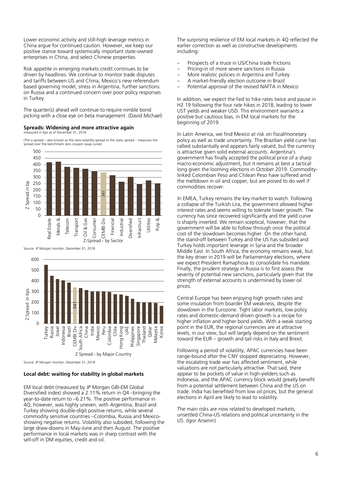Lower economic activity and still-high leverage metrics in China argue for continued caution. However, we keep our positive stance toward systemically important state-owned enterprises in China, and select Chinese properties.

Risk appetite in emerging markets credit continues to be driven by headlines. We continue to monitor trade disputes and tariffs between US and China, Mexico's new referendum based governing model, stress in Argentina, further sanctions on Russia and a continued concern over poor policy responses in Turkey.

The quarter(s) ahead will continue to require nimble bond picking with a close eye on beta management. (David Michael)

### **Spreads: Widening and more attractive again**  measured in bps as of December 31, 2018

(The z-spread – also known as the zero-volatility spread or the static spread – measures the



Source: JP Morgan monitor, December 31, 2018



Source: JP Morgan monitor, December 31, 2018

# **Local debt: waiting for stability in global markets**

EM local debt (measured by JP Morgan GBI-EM Global Diversified index) showed a 2.11% return in Q4 –bringing the year-to-date return to –6.21%. The positive performance in 4Q, however, was highly uneven, with Argentina, Brazil and Turkey showing double-digit positive returns, while several commodity sensitive countries –Colombia, Russia and Mexicoshowing negative returns. Volatility also subsided, following the large draw-downs in May-June and then August. The positive performance in local markets was in sharp contrast with the sell-off in DM equities, credit and oil.

The surprising resilience of EM local markets in 4Q reflected the earlier correction as well as constructive developments including:

- Prospects of a truce in US/China trade frictions
- Pricing-in of more severe sanctions in Russia
- More realistic policies in Argentina and Turkey
- A market-friendly election outcome in Brazil
- Potential approval of the revised NAFTA in Mexico

In addition, we expect the Fed to hike rates twice and pause in H2 19 following the four rate hikes in 2018, leading to lower UST yields and weaker USD. This environment warrants a positive but cautious bias, in EM local markets for the beginning of 2019.

In Latin America, we find Mexico at risk on fiscal/monetary policy as well as trade uncertainty. The Brazilian yield curve has rallied substantially and appears fairly valued, but the currency is attractive given solid external accounts. Argentina's government has finally accepted the political price of a sharp macro-economic adjustment, but it remains at best a tactical long given the looming elections in October 2019. Commoditylinked Colombian Peso and Chilean Peso have suffered amid the meltdown in oil and copper, but are poised to do well if commodities recover.

In EMEA, Turkey remains the key market to watch. Following a collapse of the Turkish Lira, the government allowed higher interest rates and seems willing to tolerate lower growth. The currency has since recovered significantly and the yield curve is shaprly inverted. We remain sceptical, however, that the government will be able to follow through once the political cost of the slowdown becomes higher. On the other hand, the stand-off between Turkey and the US has subsided and Turkey holds important leverage in Syria and the broader Middle East. In South Africa, the economy remains weak, but the key driver in 2019 will be Parliamentary elections, where we expect President Ramaphosa to consolidate his mandate. Finally, the prudent strategy in Russia is to first assess the severity of potential new sanctions, particularly given that the strength of external accounts is undermined by lower oil prices.

Central Europe has been enjoying high growth rates and some insulation from boarder EM weakness, despite the slowdown in the Eurozone. Tight labor markets, low policy rates and domestic-demand driven growth is a recipe for higher inflation and higher bond yields. With a weak starting point in the EUR, the regional currencies are at attractive levels, in our view, but will largely depend on the sentiment toward the EUR – growth and tail risks in Italy and Brexit.

Following a period of volatility, APAC currencies have been range-bound after the CNY stopped depreciating. However, the escalating trade war has affected sentiment, while valuations are not particularly attractive. That said, there appear to be pockets of value in high-yielders such as Indonesia, and the APAC currency block would greatly benefit from a potential settlement between China and the US on trade. India has benefited from low oil prices, but the general elections in April are likely to lead to volatility.

The main risks are now related to developed markets, unsettled China-US relations and political uncertainty in the US. (Igor Arsenin)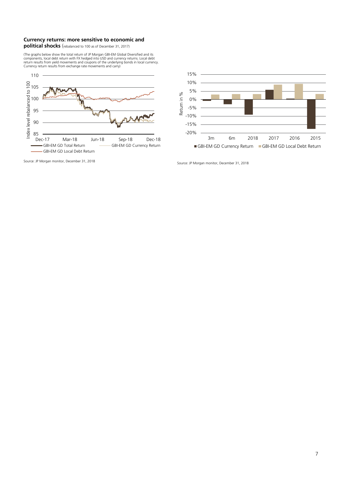# **Currency returns: more sensitive to economic and political shocks** (rebalanced to 100 as of December 31, 2017)

(The graphs below show the total return of JP Morgan GBI-EM Global Diversified and its<br>components, local debt return with FX hedged into USD and currency returns. Local debt<br>return results from yield movements and coupons





Source: JP Morgan monitor, December 31, 2018 Source: JP Morgan monitor, December 31, 2018